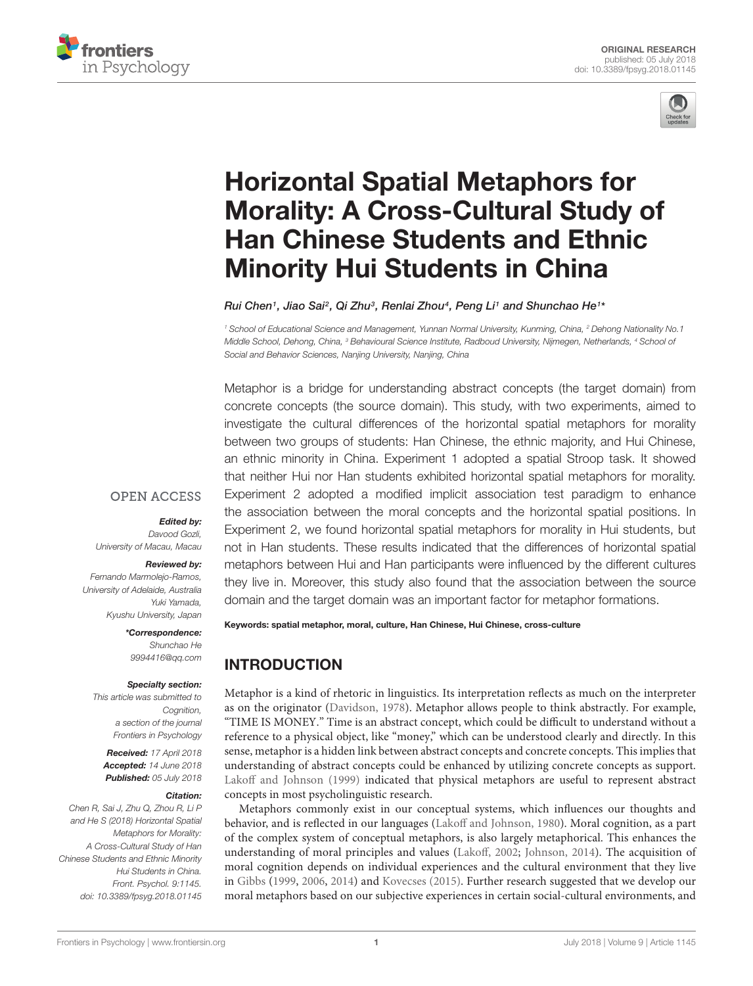



# Horizontal Spatial Metaphors for [Morality: A Cross-Cultural Study of](https://www.frontiersin.org/articles/10.3389/fpsyg.2018.01145/full) Han Chinese Students and Ethnic Minority Hui Students in China

[Rui Chen](http://loop.frontiersin.org/people/340359/overview)1, Jiao Sai², Qi Zhu¾, [Renlai Zhou](http://loop.frontiersin.org/people/205324/overview)4, Peng Li1 and [Shunchao He](http://loop.frontiersin.org/people/580641/overview)1\*

<sup>1</sup> School of Educational Science and Management, Yunnan Normal University, Kunming, China, <sup>2</sup> Dehong Nationality No.1 Middle School, Dehong, China, <sup>3</sup> Behavioural Science Institute, Radboud University, Nijmegen, Netherlands, <sup>4</sup> School of Social and Behavior Sciences, Nanjing University, Nanjing, China

Metaphor is a bridge for understanding abstract concepts (the target domain) from concrete concepts (the source domain). This study, with two experiments, aimed to investigate the cultural differences of the horizontal spatial metaphors for morality between two groups of students: Han Chinese, the ethnic majority, and Hui Chinese, an ethnic minority in China. Experiment 1 adopted a spatial Stroop task. It showed that neither Hui nor Han students exhibited horizontal spatial metaphors for morality. Experiment 2 adopted a modified implicit association test paradigm to enhance the association between the moral concepts and the horizontal spatial positions. In Experiment 2, we found horizontal spatial metaphors for morality in Hui students, but not in Han students. These results indicated that the differences of horizontal spatial metaphors between Hui and Han participants were influenced by the different cultures they live in. Moreover, this study also found that the association between the source domain and the target domain was an important factor for metaphor formations.

## **OPEN ACCESS**

## Edited by:

Davood Gozli, University of Macau, Macau

#### Reviewed by:

Fernando Marmolejo-Ramos, University of Adelaide, Australia Yuki Yamada, Kyushu University, Japan

> \*Correspondence: Shunchao He 9994416@qq.com

#### Specialty section:

This article was submitted to Cognition, a section of the journal Frontiers in Psychology

Received: 17 April 2018 Accepted: 14 June 2018 Published: 05 July 2018

#### Citation:

Chen R, Sai J, Zhu Q, Zhou R, Li P and He S (2018) Horizontal Spatial Metaphors for Morality: A Cross-Cultural Study of Han Chinese Students and Ethnic Minority Hui Students in China. Front. Psychol. 9:1145. doi: [10.3389/fpsyg.2018.01145](https://doi.org/10.3389/fpsyg.2018.01145) Keywords: spatial metaphor, moral, culture, Han Chinese, Hui Chinese, cross-culture

## INTRODUCTION

Metaphor is a kind of rhetoric in linguistics. Its interpretation reflects as much on the interpreter as on the originator [\(Davidson,](#page-6-0) [1978\)](#page-6-0). Metaphor allows people to think abstractly. For example, "TIME IS MONEY." Time is an abstract concept, which could be difficult to understand without a reference to a physical object, like "money," which can be understood clearly and directly. In this sense, metaphor is a hidden link between abstract concepts and concrete concepts. This implies that understanding of abstract concepts could be enhanced by utilizing concrete concepts as support. [Lakoff and Johnson](#page-6-1) [\(1999\)](#page-6-1) indicated that physical metaphors are useful to represent abstract concepts in most psycholinguistic research.

Metaphors commonly exist in our conceptual systems, which influences our thoughts and behavior, and is reflected in our languages [\(Lakoff and Johnson,](#page-6-2) [1980\)](#page-6-2). Moral cognition, as a part of the complex system of conceptual metaphors, is also largely metaphorical. This enhances the understanding of moral principles and values [\(Lakoff,](#page-6-3) [2002;](#page-6-3) [Johnson,](#page-6-4) [2014\)](#page-6-4). The acquisition of moral cognition depends on individual experiences and the cultural environment that they live in [Gibbs](#page-6-5) [\(1999,](#page-6-5) [2006,](#page-6-6) [2014\)](#page-6-7) and [Kovecses](#page-6-8) [\(2015\)](#page-6-8). Further research suggested that we develop our moral metaphors based on our subjective experiences in certain social-cultural environments, and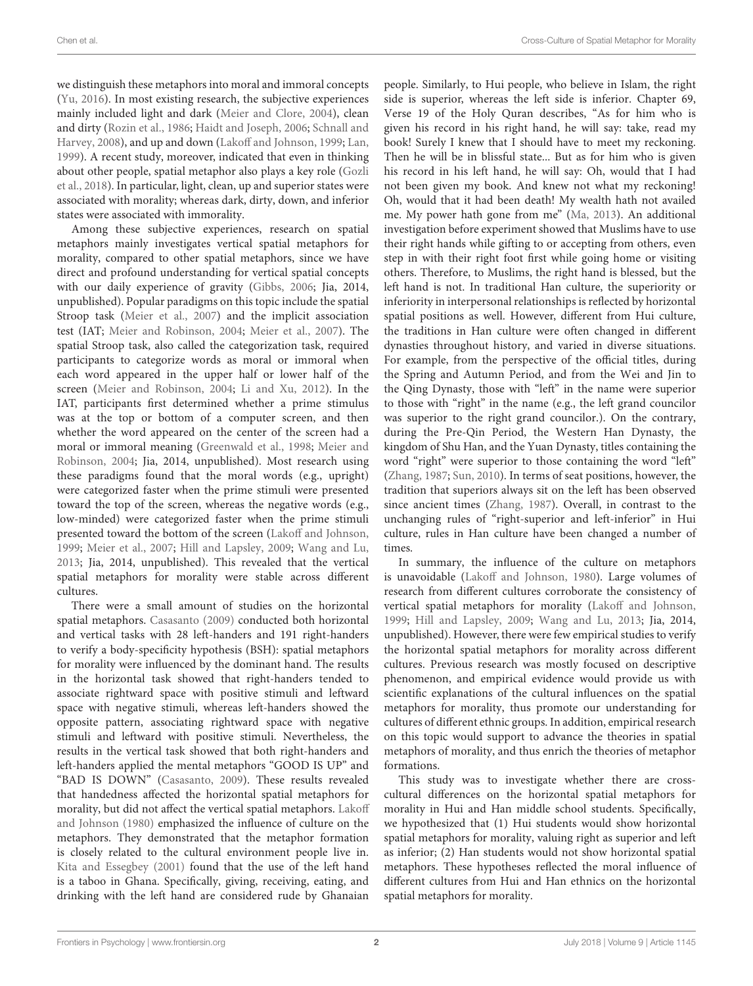we distinguish these metaphors into moral and immoral concepts [\(Yu,](#page-6-9) [2016\)](#page-6-9). In most existing research, the subjective experiences mainly included light and dark [\(Meier and Clore,](#page-6-10) [2004\)](#page-6-10), clean and dirty [\(Rozin et al.,](#page-6-11) [1986;](#page-6-11) [Haidt and Joseph,](#page-6-12) [2006;](#page-6-12) [Schnall and](#page-6-13) [Harvey,](#page-6-13) [2008\)](#page-6-13), and up and down [\(Lakoff and Johnson,](#page-6-1) [1999;](#page-6-1) [Lan,](#page-6-14) [1999\)](#page-6-14). A recent study, moreover, indicated that even in thinking about other people, spatial metaphor also plays a key role [\(Gozli](#page-6-15) [et al.,](#page-6-15) [2018\)](#page-6-15). In particular, light, clean, up and superior states were associated with morality; whereas dark, dirty, down, and inferior states were associated with immorality.

Among these subjective experiences, research on spatial metaphors mainly investigates vertical spatial metaphors for morality, compared to other spatial metaphors, since we have direct and profound understanding for vertical spatial concepts with our daily experience of gravity [\(Gibbs,](#page-6-6) [2006;](#page-6-6) Jia, 2014, unpublished). Popular paradigms on this topic include the spatial Stroop task [\(Meier et al.,](#page-6-16) [2007\)](#page-6-16) and the implicit association test (IAT; [Meier and Robinson,](#page-6-17) [2004;](#page-6-17) [Meier et al.,](#page-6-16) [2007\)](#page-6-16). The spatial Stroop task, also called the categorization task, required participants to categorize words as moral or immoral when each word appeared in the upper half or lower half of the screen [\(Meier and Robinson,](#page-6-17) [2004;](#page-6-17) [Li and Xu,](#page-6-18) [2012\)](#page-6-18). In the IAT, participants first determined whether a prime stimulus was at the top or bottom of a computer screen, and then whether the word appeared on the center of the screen had a moral or immoral meaning [\(Greenwald et al.,](#page-6-19) [1998;](#page-6-19) [Meier and](#page-6-17) [Robinson,](#page-6-17) [2004;](#page-6-17) Jia, 2014, unpublished). Most research using these paradigms found that the moral words (e.g., upright) were categorized faster when the prime stimuli were presented toward the top of the screen, whereas the negative words (e.g., low-minded) were categorized faster when the prime stimuli presented toward the bottom of the screen [\(Lakoff and Johnson,](#page-6-1) [1999;](#page-6-1) [Meier et al.,](#page-6-16) [2007;](#page-6-16) [Hill and Lapsley,](#page-6-20) [2009;](#page-6-20) [Wang and Lu,](#page-6-21) [2013;](#page-6-21) Jia, 2014, unpublished). This revealed that the vertical spatial metaphors for morality were stable across different cultures.

There were a small amount of studies on the horizontal spatial metaphors. [Casasanto](#page-6-22) [\(2009\)](#page-6-22) conducted both horizontal and vertical tasks with 28 left-handers and 191 right-handers to verify a body-specificity hypothesis (BSH): spatial metaphors for morality were influenced by the dominant hand. The results in the horizontal task showed that right-handers tended to associate rightward space with positive stimuli and leftward space with negative stimuli, whereas left-handers showed the opposite pattern, associating rightward space with negative stimuli and leftward with positive stimuli. Nevertheless, the results in the vertical task showed that both right-handers and left-handers applied the mental metaphors "GOOD IS UP" and "BAD IS DOWN" [\(Casasanto,](#page-6-22) [2009\)](#page-6-22). These results revealed that handedness affected the horizontal spatial metaphors for morality, but did not affect the vertical spatial metaphors. [Lakoff](#page-6-2) [and Johnson](#page-6-2) [\(1980\)](#page-6-2) emphasized the influence of culture on the metaphors. They demonstrated that the metaphor formation is closely related to the cultural environment people live in. [Kita and Essegbey](#page-6-23) [\(2001\)](#page-6-23) found that the use of the left hand is a taboo in Ghana. Specifically, giving, receiving, eating, and drinking with the left hand are considered rude by Ghanaian

people. Similarly, to Hui people, who believe in Islam, the right side is superior, whereas the left side is inferior. Chapter 69, Verse 19 of the Holy Quran describes, "As for him who is given his record in his right hand, he will say: take, read my book! Surely I knew that I should have to meet my reckoning. Then he will be in blissful state... But as for him who is given his record in his left hand, he will say: Oh, would that I had not been given my book. And knew not what my reckoning! Oh, would that it had been death! My wealth hath not availed me. My power hath gone from me" [\(Ma,](#page-6-24) [2013\)](#page-6-24). An additional investigation before experiment showed that Muslims have to use their right hands while gifting to or accepting from others, even step in with their right foot first while going home or visiting others. Therefore, to Muslims, the right hand is blessed, but the left hand is not. In traditional Han culture, the superiority or inferiority in interpersonal relationships is reflected by horizontal spatial positions as well. However, different from Hui culture, the traditions in Han culture were often changed in different dynasties throughout history, and varied in diverse situations. For example, from the perspective of the official titles, during the Spring and Autumn Period, and from the Wei and Jin to the Qing Dynasty, those with "left" in the name were superior to those with "right" in the name (e.g., the left grand councilor was superior to the right grand councilor.). On the contrary, during the Pre-Qin Period, the Western Han Dynasty, the kingdom of Shu Han, and the Yuan Dynasty, titles containing the word "right" were superior to those containing the word "left" [\(Zhang,](#page-6-25) [1987;](#page-6-25) [Sun,](#page-6-26) [2010\)](#page-6-26). In terms of seat positions, however, the tradition that superiors always sit on the left has been observed since ancient times [\(Zhang,](#page-6-25) [1987\)](#page-6-25). Overall, in contrast to the unchanging rules of "right-superior and left-inferior" in Hui culture, rules in Han culture have been changed a number of times.

In summary, the influence of the culture on metaphors is unavoidable [\(Lakoff and Johnson,](#page-6-2) [1980\)](#page-6-2). Large volumes of research from different cultures corroborate the consistency of vertical spatial metaphors for morality [\(Lakoff and Johnson,](#page-6-1) [1999;](#page-6-1) [Hill and Lapsley,](#page-6-20) [2009;](#page-6-20) [Wang and Lu,](#page-6-21) [2013;](#page-6-21) Jia, 2014, unpublished). However, there were few empirical studies to verify the horizontal spatial metaphors for morality across different cultures. Previous research was mostly focused on descriptive phenomenon, and empirical evidence would provide us with scientific explanations of the cultural influences on the spatial metaphors for morality, thus promote our understanding for cultures of different ethnic groups. In addition, empirical research on this topic would support to advance the theories in spatial metaphors of morality, and thus enrich the theories of metaphor formations.

This study was to investigate whether there are crosscultural differences on the horizontal spatial metaphors for morality in Hui and Han middle school students. Specifically, we hypothesized that (1) Hui students would show horizontal spatial metaphors for morality, valuing right as superior and left as inferior; (2) Han students would not show horizontal spatial metaphors. These hypotheses reflected the moral influence of different cultures from Hui and Han ethnics on the horizontal spatial metaphors for morality.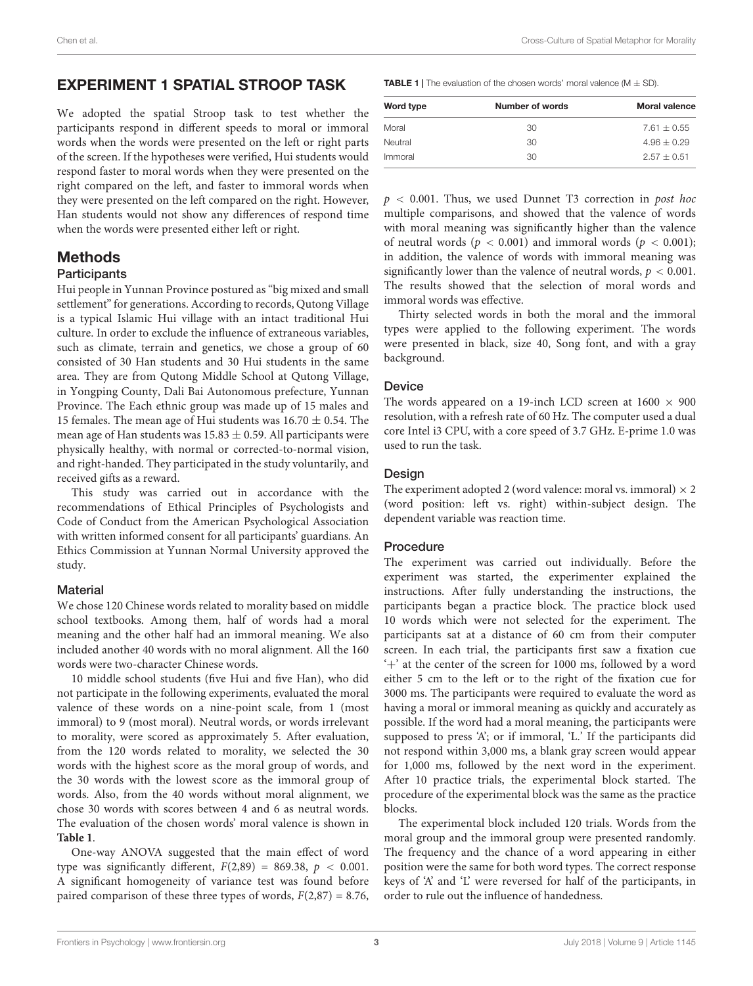## EXPERIMENT 1 SPATIAL STROOP TASK

We adopted the spatial Stroop task to test whether the participants respond in different speeds to moral or immoral words when the words were presented on the left or right parts of the screen. If the hypotheses were verified, Hui students would respond faster to moral words when they were presented on the right compared on the left, and faster to immoral words when they were presented on the left compared on the right. However, Han students would not show any differences of respond time when the words were presented either left or right.

## Methods

#### **Participants**

Hui people in Yunnan Province postured as "big mixed and small settlement" for generations. According to records, Qutong Village is a typical Islamic Hui village with an intact traditional Hui culture. In order to exclude the influence of extraneous variables, such as climate, terrain and genetics, we chose a group of 60 consisted of 30 Han students and 30 Hui students in the same area. They are from Qutong Middle School at Qutong Village, in Yongping County, Dali Bai Autonomous prefecture, Yunnan Province. The Each ethnic group was made up of 15 males and 15 females. The mean age of Hui students was  $16.70 \pm 0.54$ . The mean age of Han students was  $15.83 \pm 0.59$ . All participants were physically healthy, with normal or corrected-to-normal vision, and right-handed. They participated in the study voluntarily, and received gifts as a reward.

This study was carried out in accordance with the recommendations of Ethical Principles of Psychologists and Code of Conduct from the American Psychological Association with written informed consent for all participants' guardians. An Ethics Commission at Yunnan Normal University approved the study.

## **Material**

We chose 120 Chinese words related to morality based on middle school textbooks. Among them, half of words had a moral meaning and the other half had an immoral meaning. We also included another 40 words with no moral alignment. All the 160 words were two-character Chinese words.

10 middle school students (five Hui and five Han), who did not participate in the following experiments, evaluated the moral valence of these words on a nine-point scale, from 1 (most immoral) to 9 (most moral). Neutral words, or words irrelevant to morality, were scored as approximately 5. After evaluation, from the 120 words related to morality, we selected the 30 words with the highest score as the moral group of words, and the 30 words with the lowest score as the immoral group of words. Also, from the 40 words without moral alignment, we chose 30 words with scores between 4 and 6 as neutral words. The evaluation of the chosen words' moral valence is shown in **[Table 1](#page-2-0)**.

One-way ANOVA suggested that the main effect of word type was significantly different,  $F(2,89) = 869.38$ ,  $p < 0.001$ . A significant homogeneity of variance test was found before paired comparison of these three types of words,  $F(2,87) = 8.76$ , <span id="page-2-0"></span>**TABLE 1** | The evaluation of the chosen words' moral valence  $(M \pm SD)$ .

| Word type | Number of words | Moral valence |
|-----------|-----------------|---------------|
| Moral     | 30              | $7.61 + 0.55$ |
| Neutral   | 30              | $4.96 + 0.29$ |
| Immoral   | 30              | $2.57 + 0.51$ |

 $p < 0.001$ . Thus, we used Dunnet T3 correction in post hoc multiple comparisons, and showed that the valence of words with moral meaning was significantly higher than the valence of neutral words ( $p < 0.001$ ) and immoral words ( $p < 0.001$ ); in addition, the valence of words with immoral meaning was significantly lower than the valence of neutral words,  $p < 0.001$ . The results showed that the selection of moral words and immoral words was effective.

Thirty selected words in both the moral and the immoral types were applied to the following experiment. The words were presented in black, size 40, Song font, and with a gray background.

## Device

The words appeared on a 19-inch LCD screen at  $1600 \times 900$ resolution, with a refresh rate of 60 Hz. The computer used a dual core Intel i3 CPU, with a core speed of 3.7 GHz. E-prime 1.0 was used to run the task.

#### Design

The experiment adopted 2 (word valence: moral vs. immoral)  $\times$  2 (word position: left vs. right) within-subject design. The dependent variable was reaction time.

#### Procedure

The experiment was carried out individually. Before the experiment was started, the experimenter explained the instructions. After fully understanding the instructions, the participants began a practice block. The practice block used 10 words which were not selected for the experiment. The participants sat at a distance of 60 cm from their computer screen. In each trial, the participants first saw a fixation cue '+' at the center of the screen for 1000 ms, followed by a word either 5 cm to the left or to the right of the fixation cue for 3000 ms. The participants were required to evaluate the word as having a moral or immoral meaning as quickly and accurately as possible. If the word had a moral meaning, the participants were supposed to press 'A'; or if immoral, 'L.' If the participants did not respond within 3,000 ms, a blank gray screen would appear for 1,000 ms, followed by the next word in the experiment. After 10 practice trials, the experimental block started. The procedure of the experimental block was the same as the practice blocks.

The experimental block included 120 trials. Words from the moral group and the immoral group were presented randomly. The frequency and the chance of a word appearing in either position were the same for both word types. The correct response keys of 'A' and 'L' were reversed for half of the participants, in order to rule out the influence of handedness.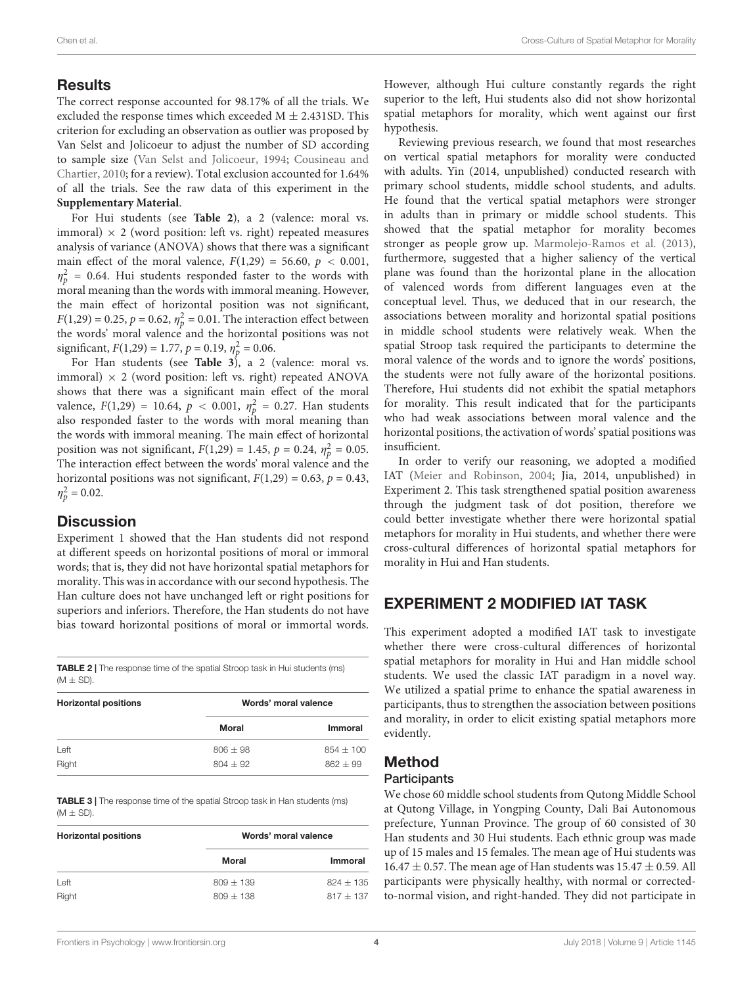## **Results**

The correct response accounted for 98.17% of all the trials. We excluded the response times which exceeded  $M \pm 2.431$ SD. This criterion for excluding an observation as outlier was proposed by Van Selst and Jolicoeur to adjust the number of SD according to sample size [\(Van Selst and Jolicoeur,](#page-6-27) [1994;](#page-6-27) [Cousineau and](#page-6-28) [Chartier,](#page-6-28) [2010;](#page-6-28) for a review). Total exclusion accounted for 1.64% of all the trials. See the raw data of this experiment in the **[Supplementary Material](#page-6-29)**.

For Hui students (see **[Table 2](#page-3-0)**), a 2 (valence: moral vs. immoral)  $\times$  2 (word position: left vs. right) repeated measures analysis of variance (ANOVA) shows that there was a significant main effect of the moral valence,  $F(1,29) = 56.60$ ,  $p < 0.001$ ,  $\eta_p^2$  = 0.64. Hui students responded faster to the words with moral meaning than the words with immoral meaning. However, the main effect of horizontal position was not significant,  $F(1,29) = 0.25, p = 0.62, \eta_p^2 = 0.01$ . The interaction effect between the words' moral valence and the horizontal positions was not significant,  $F(1,29) = 1.77$ ,  $p = 0.19$ ,  $\eta_p^2 = 0.06$ .

For Han students (see **[Table 3](#page-3-1)**), a 2 (valence: moral vs. immoral)  $\times$  2 (word position: left vs. right) repeated ANOVA shows that there was a significant main effect of the moral valence,  $F(1,29) = 10.64$ ,  $p < 0.001$ ,  $\eta_p^2 = 0.27$ . Han students also responded faster to the words with moral meaning than the words with immoral meaning. The main effect of horizontal position was not significant,  $F(1,29) = 1.45$ ,  $p = 0.24$ ,  $\eta_p^2 = 0.05$ . The interaction effect between the words' moral valence and the horizontal positions was not significant,  $F(1,29) = 0.63$ ,  $p = 0.43$ ,  $\eta_p^2 = 0.02$ .

## **Discussion**

Experiment 1 showed that the Han students did not respond at different speeds on horizontal positions of moral or immoral words; that is, they did not have horizontal spatial metaphors for morality. This was in accordance with our second hypothesis. The Han culture does not have unchanged left or right positions for superiors and inferiors. Therefore, the Han students do not have bias toward horizontal positions of moral or immortal words.

<span id="page-3-0"></span>TABLE 2 | The response time of the spatial Stroop task in Hui students (ms)  $(M \pm SD)$ .

| <b>Horizontal positions</b> | Words' moral valence |             |
|-----------------------------|----------------------|-------------|
|                             | <b>Moral</b>         | Immoral     |
| Left                        | $806 + 98$           | $854 + 100$ |
| Right                       | $804 + 92$           | $862 + 99$  |

<span id="page-3-1"></span>TABLE 3 | The response time of the spatial Stroop task in Han students (ms)  $(M \pm SD)$ .

| <b>Horizontal positions</b> | Words' moral valence |             |
|-----------------------------|----------------------|-------------|
|                             | Moral                | Immoral     |
| Left                        | $809 + 139$          | $824 + 135$ |
| Right                       | $809 + 138$          | $817 + 137$ |

However, although Hui culture constantly regards the right superior to the left, Hui students also did not show horizontal spatial metaphors for morality, which went against our first hypothesis.

Reviewing previous research, we found that most researches on vertical spatial metaphors for morality were conducted with adults. Yin (2014, unpublished) conducted research with primary school students, middle school students, and adults. He found that the vertical spatial metaphors were stronger in adults than in primary or middle school students. This showed that the spatial metaphor for morality becomes stronger as people grow up. [Marmolejo-Ramos et al.](#page-6-30) [\(2013\)](#page-6-30), furthermore, suggested that a higher saliency of the vertical plane was found than the horizontal plane in the allocation of valenced words from different languages even at the conceptual level. Thus, we deduced that in our research, the associations between morality and horizontal spatial positions in middle school students were relatively weak. When the spatial Stroop task required the participants to determine the moral valence of the words and to ignore the words' positions, the students were not fully aware of the horizontal positions. Therefore, Hui students did not exhibit the spatial metaphors for morality. This result indicated that for the participants who had weak associations between moral valence and the horizontal positions, the activation of words' spatial positions was insufficient.

In order to verify our reasoning, we adopted a modified IAT [\(Meier and Robinson,](#page-6-17) [2004;](#page-6-17) Jia, 2014, unpublished) in Experiment 2. This task strengthened spatial position awareness through the judgment task of dot position, therefore we could better investigate whether there were horizontal spatial metaphors for morality in Hui students, and whether there were cross-cultural differences of horizontal spatial metaphors for morality in Hui and Han students.

# EXPERIMENT 2 MODIFIED IAT TASK

This experiment adopted a modified IAT task to investigate whether there were cross-cultural differences of horizontal spatial metaphors for morality in Hui and Han middle school students. We used the classic IAT paradigm in a novel way. We utilized a spatial prime to enhance the spatial awareness in participants, thus to strengthen the association between positions and morality, in order to elicit existing spatial metaphors more evidently.

# Method

## **Participants**

We chose 60 middle school students from Qutong Middle School at Qutong Village, in Yongping County, Dali Bai Autonomous prefecture, Yunnan Province. The group of 60 consisted of 30 Han students and 30 Hui students. Each ethnic group was made up of 15 males and 15 females. The mean age of Hui students was  $16.47 \pm 0.57$ . The mean age of Han students was  $15.47 \pm 0.59$ . All participants were physically healthy, with normal or correctedto-normal vision, and right-handed. They did not participate in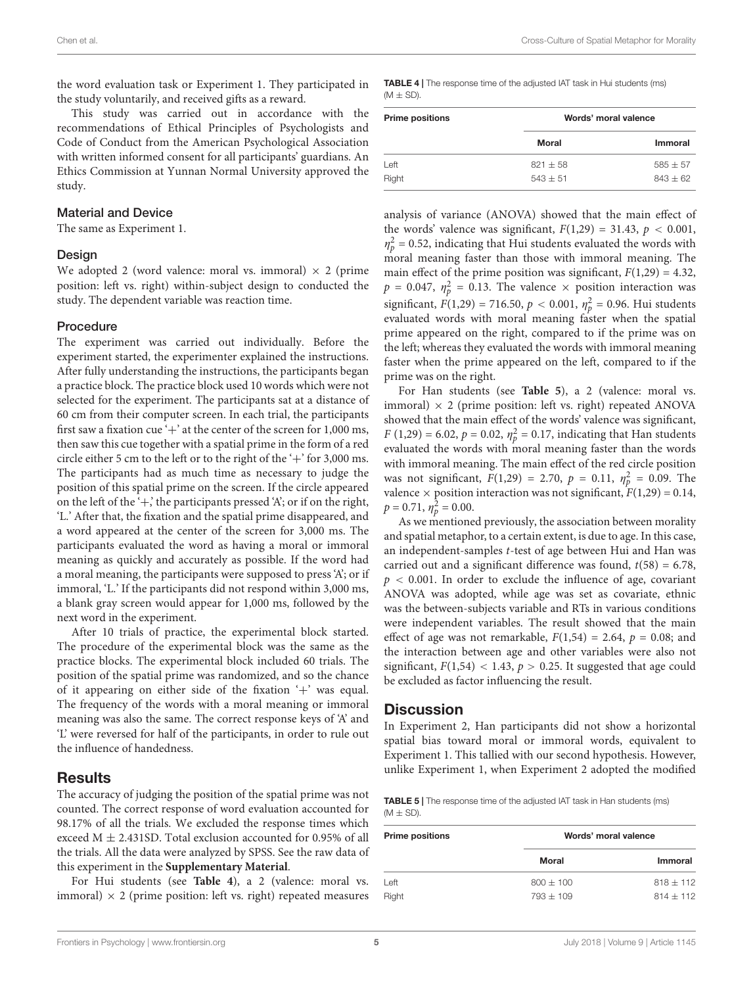the word evaluation task or Experiment 1. They participated in the study voluntarily, and received gifts as a reward.

This study was carried out in accordance with the recommendations of Ethical Principles of Psychologists and Code of Conduct from the American Psychological Association with written informed consent for all participants' guardians. An Ethics Commission at Yunnan Normal University approved the study.

#### Material and Device

The same as Experiment 1.

#### Design

We adopted 2 (word valence: moral vs. immoral)  $\times$  2 (prime position: left vs. right) within-subject design to conducted the study. The dependent variable was reaction time.

#### Procedure

The experiment was carried out individually. Before the experiment started, the experimenter explained the instructions. After fully understanding the instructions, the participants began a practice block. The practice block used 10 words which were not selected for the experiment. The participants sat at a distance of 60 cm from their computer screen. In each trial, the participants first saw a fixation cue '+' at the center of the screen for  $1,000$  ms, then saw this cue together with a spatial prime in the form of a red circle either 5 cm to the left or to the right of the  $+$ ' for 3,000 ms. The participants had as much time as necessary to judge the position of this spatial prime on the screen. If the circle appeared on the left of the  $\dot{+}$ , the participants pressed  $\dot{+}$ , or if on the right, 'L.' After that, the fixation and the spatial prime disappeared, and a word appeared at the center of the screen for 3,000 ms. The participants evaluated the word as having a moral or immoral meaning as quickly and accurately as possible. If the word had a moral meaning, the participants were supposed to press 'A'; or if immoral, 'L.' If the participants did not respond within 3,000 ms, a blank gray screen would appear for 1,000 ms, followed by the next word in the experiment.

After 10 trials of practice, the experimental block started. The procedure of the experimental block was the same as the practice blocks. The experimental block included 60 trials. The position of the spatial prime was randomized, and so the chance of it appearing on either side of the fixation '+' was equal. The frequency of the words with a moral meaning or immoral meaning was also the same. The correct response keys of 'A' and 'L' were reversed for half of the participants, in order to rule out the influence of handedness.

## Results

The accuracy of judging the position of the spatial prime was not counted. The correct response of word evaluation accounted for 98.17% of all the trials. We excluded the response times which exceed  $M \pm 2.431$ SD. Total exclusion accounted for 0.95% of all the trials. All the data were analyzed by SPSS. See the raw data of this experiment in the **[Supplementary Material](#page-6-29)**.

For Hui students (see **[Table 4](#page-4-0)**), a 2 (valence: moral vs. immoral)  $\times$  2 (prime position: left vs. right) repeated measures <span id="page-4-0"></span>TABLE 4 | The response time of the adjusted IAT task in Hui students (ms)  $(M \pm SD)$ 

| <b>Prime positions</b> | Words' moral valence |              |
|------------------------|----------------------|--------------|
|                        | Moral                | Immoral      |
| Left                   | $821 + 58$           | $585 \pm 57$ |
| Right                  | $543 + 51$           | $843 + 62$   |

analysis of variance (ANOVA) showed that the main effect of the words' valence was significant,  $F(1,29) = 31.43$ ,  $p < 0.001$ ,  $\eta_p^2$  = 0.52, indicating that Hui students evaluated the words with moral meaning faster than those with immoral meaning. The main effect of the prime position was significant,  $F(1,29) = 4.32$ ,  $p = 0.047$ ,  $\eta_p^2 = 0.13$ . The valence  $\times$  position interaction was significant,  $F(1,29) = 716.50, p < 0.001, \eta_p^2 = 0.96$ . Hui students evaluated words with moral meaning faster when the spatial prime appeared on the right, compared to if the prime was on the left; whereas they evaluated the words with immoral meaning faster when the prime appeared on the left, compared to if the prime was on the right.

For Han students (see **[Table 5](#page-4-1)**), a 2 (valence: moral vs. immoral)  $\times$  2 (prime position: left vs. right) repeated ANOVA showed that the main effect of the words' valence was significant,  $F(1,29) = 6.02, p = 0.02, \eta_p^2 = 0.17$ , indicating that Han students evaluated the words with moral meaning faster than the words with immoral meaning. The main effect of the red circle position was not significant,  $F(1,29) = 2.70$ ,  $p = 0.11$ ,  $\eta_p^2 = 0.09$ . The valence  $\times$  position interaction was not significant,  $F(1,29) = 0.14$ ,  $p = 0.71, \eta_p^2 = 0.00.$ 

As we mentioned previously, the association between morality and spatial metaphor, to a certain extent, is due to age. In this case, an independent-samples t-test of age between Hui and Han was carried out and a significant difference was found,  $t(58) = 6.78$ ,  $p < 0.001$ . In order to exclude the influence of age, covariant ANOVA was adopted, while age was set as covariate, ethnic was the between-subjects variable and RTs in various conditions were independent variables. The result showed that the main effect of age was not remarkable,  $F(1,54) = 2.64$ ,  $p = 0.08$ ; and the interaction between age and other variables were also not significant,  $F(1,54)$  < 1.43,  $p > 0.25$ . It suggested that age could be excluded as factor influencing the result.

## **Discussion**

In Experiment 2, Han participants did not show a horizontal spatial bias toward moral or immoral words, equivalent to Experiment 1. This tallied with our second hypothesis. However, unlike Experiment 1, when Experiment 2 adopted the modified

<span id="page-4-1"></span>TABLE 5 | The response time of the adjusted IAT task in Han students (ms)  $(M \pm SD)$ 

| <b>Prime positions</b> | Words' moral valence |                |
|------------------------|----------------------|----------------|
|                        | Moral                | <b>Immoral</b> |
| Left                   | $800 \pm 100$        | $818 \pm 112$  |
| Right                  | $793 + 109$          | $814 + 112$    |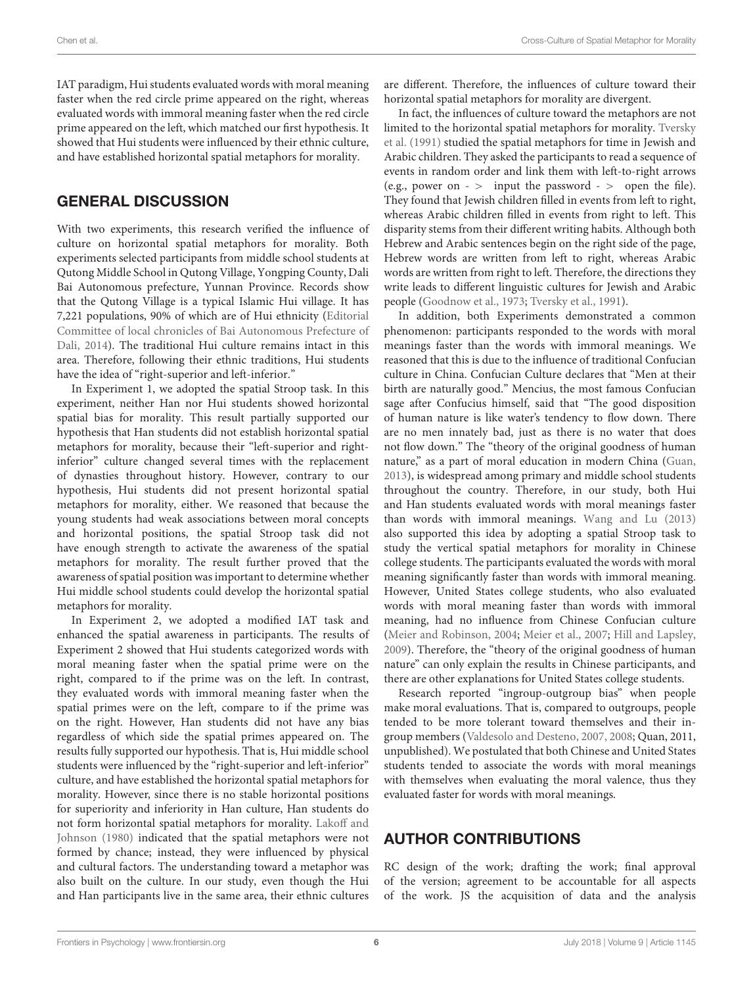IAT paradigm, Hui students evaluated words with moral meaning faster when the red circle prime appeared on the right, whereas evaluated words with immoral meaning faster when the red circle prime appeared on the left, which matched our first hypothesis. It showed that Hui students were influenced by their ethnic culture, and have established horizontal spatial metaphors for morality.

## GENERAL DISCUSSION

With two experiments, this research verified the influence of culture on horizontal spatial metaphors for morality. Both experiments selected participants from middle school students at Qutong Middle School in Qutong Village, Yongping County, Dali Bai Autonomous prefecture, Yunnan Province. Records show that the Qutong Village is a typical Islamic Hui village. It has 7,221 populations, 90% of which are of Hui ethnicity [\(Editorial](#page-6-31) [Committee of local chronicles of Bai Autonomous Prefecture of](#page-6-31) [Dali,](#page-6-31) [2014\)](#page-6-31). The traditional Hui culture remains intact in this area. Therefore, following their ethnic traditions, Hui students have the idea of "right-superior and left-inferior."

In Experiment 1, we adopted the spatial Stroop task. In this experiment, neither Han nor Hui students showed horizontal spatial bias for morality. This result partially supported our hypothesis that Han students did not establish horizontal spatial metaphors for morality, because their "left-superior and rightinferior" culture changed several times with the replacement of dynasties throughout history. However, contrary to our hypothesis, Hui students did not present horizontal spatial metaphors for morality, either. We reasoned that because the young students had weak associations between moral concepts and horizontal positions, the spatial Stroop task did not have enough strength to activate the awareness of the spatial metaphors for morality. The result further proved that the awareness of spatial position was important to determine whether Hui middle school students could develop the horizontal spatial metaphors for morality.

In Experiment 2, we adopted a modified IAT task and enhanced the spatial awareness in participants. The results of Experiment 2 showed that Hui students categorized words with moral meaning faster when the spatial prime were on the right, compared to if the prime was on the left. In contrast, they evaluated words with immoral meaning faster when the spatial primes were on the left, compare to if the prime was on the right. However, Han students did not have any bias regardless of which side the spatial primes appeared on. The results fully supported our hypothesis. That is, Hui middle school students were influenced by the "right-superior and left-inferior" culture, and have established the horizontal spatial metaphors for morality. However, since there is no stable horizontal positions for superiority and inferiority in Han culture, Han students do not form horizontal spatial metaphors for morality. [Lakoff and](#page-6-2) [Johnson](#page-6-2) [\(1980\)](#page-6-2) indicated that the spatial metaphors were not formed by chance; instead, they were influenced by physical and cultural factors. The understanding toward a metaphor was also built on the culture. In our study, even though the Hui and Han participants live in the same area, their ethnic cultures

are different. Therefore, the influences of culture toward their horizontal spatial metaphors for morality are divergent.

In fact, the influences of culture toward the metaphors are not limited to the horizontal spatial metaphors for morality. [Tversky](#page-6-32) [et al.](#page-6-32) [\(1991\)](#page-6-32) studied the spatial metaphors for time in Jewish and Arabic children. They asked the participants to read a sequence of events in random order and link them with left-to-right arrows (e.g., power on  $\sim$  input the password  $\sim$  open the file). They found that Jewish children filled in events from left to right, whereas Arabic children filled in events from right to left. This disparity stems from their different writing habits. Although both Hebrew and Arabic sentences begin on the right side of the page, Hebrew words are written from left to right, whereas Arabic words are written from right to left. Therefore, the directions they write leads to different linguistic cultures for Jewish and Arabic people [\(Goodnow et al.,](#page-6-33) [1973;](#page-6-33) [Tversky et al.,](#page-6-32) [1991\)](#page-6-32).

In addition, both Experiments demonstrated a common phenomenon: participants responded to the words with moral meanings faster than the words with immoral meanings. We reasoned that this is due to the influence of traditional Confucian culture in China. Confucian Culture declares that "Men at their birth are naturally good." Mencius, the most famous Confucian sage after Confucius himself, said that "The good disposition of human nature is like water's tendency to flow down. There are no men innately bad, just as there is no water that does not flow down." The "theory of the original goodness of human nature," as a part of moral education in modern China [\(Guan,](#page-6-34) [2013\)](#page-6-34), is widespread among primary and middle school students throughout the country. Therefore, in our study, both Hui and Han students evaluated words with moral meanings faster than words with immoral meanings. [Wang and Lu](#page-6-21) [\(2013\)](#page-6-21) also supported this idea by adopting a spatial Stroop task to study the vertical spatial metaphors for morality in Chinese college students. The participants evaluated the words with moral meaning significantly faster than words with immoral meaning. However, United States college students, who also evaluated words with moral meaning faster than words with immoral meaning, had no influence from Chinese Confucian culture [\(Meier and Robinson,](#page-6-17) [2004;](#page-6-17) [Meier et al.,](#page-6-16) [2007;](#page-6-16) [Hill and Lapsley,](#page-6-20) [2009\)](#page-6-20). Therefore, the "theory of the original goodness of human nature" can only explain the results in Chinese participants, and there are other explanations for United States college students.

Research reported "ingroup-outgroup bias" when people make moral evaluations. That is, compared to outgroups, people tended to be more tolerant toward themselves and their ingroup members [\(Valdesolo and Desteno,](#page-6-35) [2007,](#page-6-35) [2008;](#page-6-36) Quan, 2011, unpublished). We postulated that both Chinese and United States students tended to associate the words with moral meanings with themselves when evaluating the moral valence, thus they evaluated faster for words with moral meanings.

## AUTHOR CONTRIBUTIONS

RC design of the work; drafting the work; final approval of the version; agreement to be accountable for all aspects of the work. JS the acquisition of data and the analysis